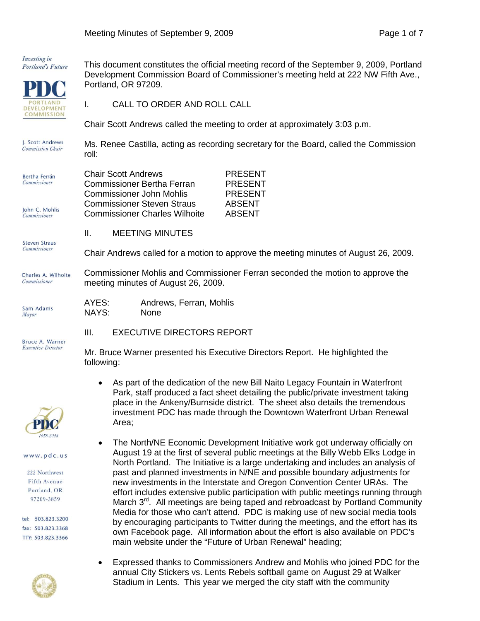Investing in Portland's Future



This document constitutes the official meeting record of the September 9, 2009, Portland Development Commission Board of Commissioner's meeting held at 222 NW Fifth Ave., Portland, OR 97209.

I. CALL TO ORDER AND ROLL CALL

Chair Scott Andrews called the meeting to order at approximately 3:03 p.m.

I. Scott Andrews Ms. Renee Castilla, acting as recording secretary for the Board, called the Commission **Commission Chair** roll:

| Bertha Ferrán                         | <b>Chair Scott Andrews</b>           | <b>PRESENT</b> |
|---------------------------------------|--------------------------------------|----------------|
| <b>Commissioner</b>                   | Commissioner Bertha Ferran           | <b>PRESENT</b> |
|                                       | Commissioner John Mohlis             | <b>PRESENT</b> |
|                                       | <b>Commissioner Steven Straus</b>    | <b>ABSENT</b>  |
| John C. Mohlis<br><b>Commissioner</b> | <b>Commissioner Charles Wilhoite</b> | <b>ABSENT</b>  |

II. MEETING MINUTES

**Steven Straus** 

**Commissioner** 

Sam Adams Mayor

Charles A. Wilhoite Commissioner

Commissioner Mohlis and Commissioner Ferran seconded the motion to approve the meeting minutes of August 26, 2009.

Chair Andrews called for a motion to approve the meeting minutes of August 26, 2009.

| AYES: | Andrews, Ferran, Mohlis |
|-------|-------------------------|
| NAYS: | None                    |

III. EXECUTIVE DIRECTORS REPORT

Bruce A. Warner **Executive Director** 



www.pdc.us

222 Northwest Fifth Avenue Portland, OR 97209-3859

tel: 503.823.3200 fax: 503.823.3368 TTY: 503.823.3366



following: • As part of the dedication of the new Bill Naito Legacy Fountain in Waterfront Park, staff produced a fact sheet detailing the public/private investment taking

Mr. Bruce Warner presented his Executive Directors Report. He highlighted the

- place in the Ankeny/Burnside district. The sheet also details the tremendous investment PDC has made through the Downtown Waterfront Urban Renewal Area;
- The North/NE Economic Development Initiative work got underway officially on August 19 at the first of several public meetings at the Billy Webb Elks Lodge in North Portland. The Initiative is a large undertaking and includes an analysis of past and planned investments in N/NE and possible boundary adjustments for new investments in the Interstate and Oregon Convention Center URAs. The effort includes extensive public participation with public meetings running through March 3<sup>rd</sup>. All meetings are being taped and rebroadcast by Portland Community Media for those who can't attend. PDC is making use of new social media tools by encouraging participants to Twitter during the meetings, and the effort has its own Facebook page. All information about the effort is also available on PDC's main website under the "Future of Urban Renewal" heading;
- Expressed thanks to Commissioners Andrew and Mohlis who joined PDC for the annual City Stickers vs. Lents Rebels softball game on August 29 at Walker Stadium in Lents. This year we merged the city staff with the community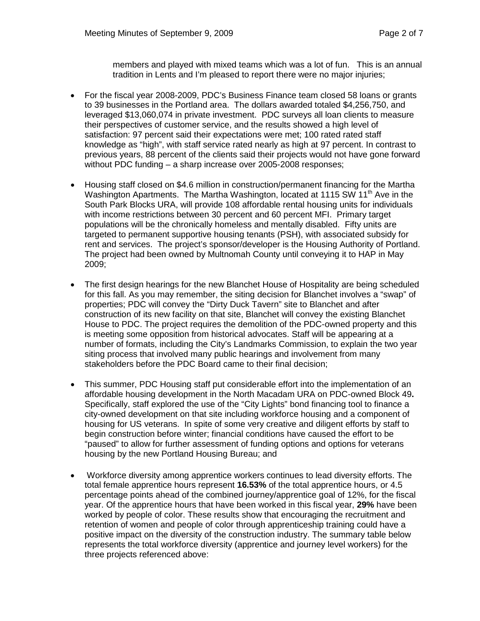members and played with mixed teams which was a lot of fun. This is an annual tradition in Lents and I'm pleased to report there were no major injuries;

- For the fiscal year 2008-2009, PDC's Business Finance team closed 58 loans or grants to 39 businesses in the Portland area. The dollars awarded totaled \$4,256,750, and leveraged \$13,060,074 in private investment. PDC surveys all loan clients to measure their perspectives of customer service, and the results showed a high level of satisfaction: 97 percent said their expectations were met; 100 rated rated staff knowledge as "high", with staff service rated nearly as high at 97 percent. In contrast to previous years, 88 percent of the clients said their projects would not have gone forward without PDC funding – a sharp increase over 2005-2008 responses;
- Housing staff closed on \$4.6 million in construction/permanent financing for the Martha Washington Apartments. The Martha Washington, located at 1115 SW 11<sup>th</sup> Ave in the South Park Blocks URA, will provide 108 affordable rental housing units for individuals with income restrictions between 30 percent and 60 percent MFI. Primary target populations will be the chronically homeless and mentally disabled. Fifty units are targeted to permanent supportive housing tenants (PSH), with associated subsidy for rent and services. The project's sponsor/developer is the Housing Authority of Portland. The project had been owned by Multnomah County until conveying it to HAP in May 2009;
- The first design hearings for the new Blanchet House of Hospitality are being scheduled for this fall. As you may remember, the siting decision for Blanchet involves a "swap" of properties; PDC will convey the "Dirty Duck Tavern" site to Blanchet and after construction of its new facility on that site, Blanchet will convey the existing Blanchet House to PDC. The project requires the demolition of the PDC-owned property and this is meeting some opposition from historical advocates. Staff will be appearing at a number of formats, including the City's Landmarks Commission, to explain the two year siting process that involved many public hearings and involvement from many stakeholders before the PDC Board came to their final decision;
- This summer, PDC Housing staff put considerable effort into the implementation of an affordable housing development in the North Macadam URA on PDC-owned Block 49**.**  Specifically, staff explored the use of the "City Lights" bond financing tool to finance a city-owned development on that site including workforce housing and a component of housing for US veterans. In spite of some very creative and diligent efforts by staff to begin construction before winter; financial conditions have caused the effort to be "paused" to allow for further assessment of funding options and options for veterans housing by the new Portland Housing Bureau; and
- Workforce diversity among apprentice workers continues to lead diversity efforts. The total female apprentice hours represent **16.53%** of the total apprentice hours, or 4.5 percentage points ahead of the combined journey/apprentice goal of 12%, for the fiscal year. Of the apprentice hours that have been worked in this fiscal year, **29%** have been worked by people of color. These results show that encouraging the recruitment and retention of women and people of color through apprenticeship training could have a positive impact on the diversity of the construction industry. The summary table below represents the total workforce diversity (apprentice and journey level workers) for the three projects referenced above: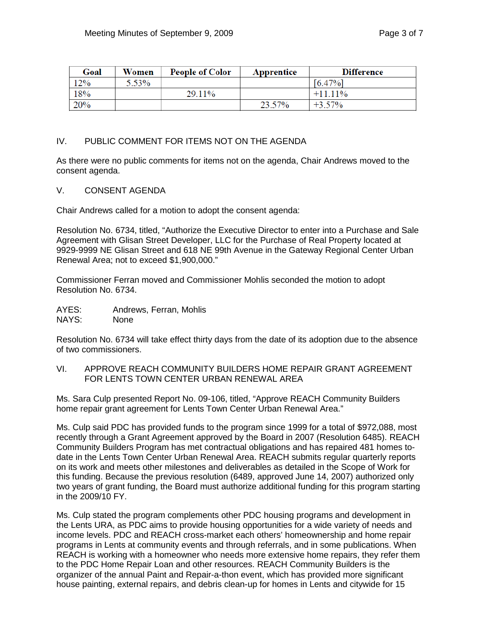| Goal | Women | <b>People of Color</b> | Apprentice | <b>Difference</b> |
|------|-------|------------------------|------------|-------------------|
| 12%  | 5.53% |                        |            | $[6.47\%]$        |
| 18%  |       | 29.11%                 |            | $+1111\%$         |
| 20%  |       |                        | 23.57%     | $+3.57\%$         |

## IV. PUBLIC COMMENT FOR ITEMS NOT ON THE AGENDA

As there were no public comments for items not on the agenda, Chair Andrews moved to the consent agenda.

V. CONSENT AGENDA

Chair Andrews called for a motion to adopt the consent agenda:

Resolution No. 6734, titled, "Authorize the Executive Director to enter into a Purchase and Sale Agreement with Glisan Street Developer, LLC for the Purchase of Real Property located at 9929-9999 NE Glisan Street and 618 NE 99th Avenue in the Gateway Regional Center Urban Renewal Area; not to exceed \$1,900,000."

Commissioner Ferran moved and Commissioner Mohlis seconded the motion to adopt Resolution No. 6734.

AYES: Andrews, Ferran, Mohlis NAYS: None

Resolution No. 6734 will take effect thirty days from the date of its adoption due to the absence of two commissioners.

VI. APPROVE REACH COMMUNITY BUILDERS HOME REPAIR GRANT AGREEMENT FOR LENTS TOWN CENTER URBAN RENEWAL AREA

Ms. Sara Culp presented Report No. 09-106, titled, "Approve REACH Community Builders home repair grant agreement for Lents Town Center Urban Renewal Area."

Ms. Culp said PDC has provided funds to the program since 1999 for a total of \$972,088, most recently through a Grant Agreement approved by the Board in 2007 (Resolution 6485). REACH Community Builders Program has met contractual obligations and has repaired 481 homes todate in the Lents Town Center Urban Renewal Area. REACH submits regular quarterly reports on its work and meets other milestones and deliverables as detailed in the Scope of Work for this funding. Because the previous resolution (6489, approved June 14, 2007) authorized only two years of grant funding, the Board must authorize additional funding for this program starting in the 2009/10 FY.

Ms. Culp stated the program complements other PDC housing programs and development in the Lents URA, as PDC aims to provide housing opportunities for a wide variety of needs and income levels. PDC and REACH cross-market each others' homeownership and home repair programs in Lents at community events and through referrals, and in some publications. When REACH is working with a homeowner who needs more extensive home repairs, they refer them to the PDC Home Repair Loan and other resources. REACH Community Builders is the organizer of the annual Paint and Repair-a-thon event, which has provided more significant house painting, external repairs, and debris clean-up for homes in Lents and citywide for 15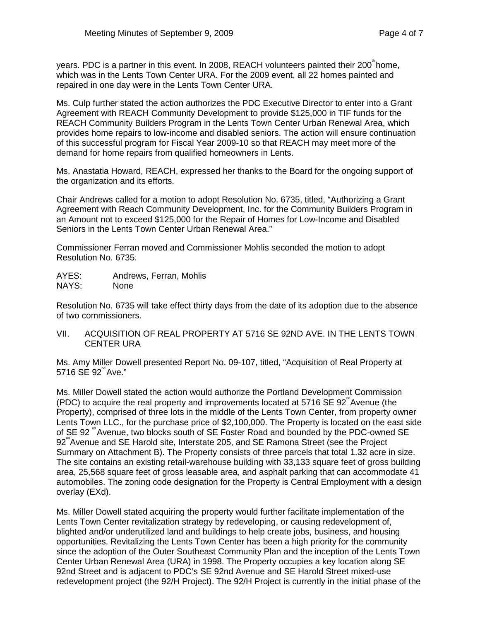years. PDC is a partner in this event. In 2008, REACH volunteers painted their  $200^{\degree}$  home, which was in the Lents Town Center URA. For the 2009 event, all 22 homes painted and repaired in one day were in the Lents Town Center URA.

Ms. Culp further stated the action authorizes the PDC Executive Director to enter into a Grant Agreement with REACH Community Development to provide \$125,000 in TIF funds for the REACH Community Builders Program in the Lents Town Center Urban Renewal Area, which provides home repairs to low-income and disabled seniors. The action will ensure continuation of this successful program for Fiscal Year 2009-10 so that REACH may meet more of the demand for home repairs from qualified homeowners in Lents.

Ms. Anastatia Howard, REACH, expressed her thanks to the Board for the ongoing support of the organization and its efforts.

Chair Andrews called for a motion to adopt Resolution No. 6735, titled, "Authorizing a Grant Agreement with Reach Community Development, Inc. for the Community Builders Program in an Amount not to exceed \$125,000 for the Repair of Homes for Low-Income and Disabled Seniors in the Lents Town Center Urban Renewal Area."

Commissioner Ferran moved and Commissioner Mohlis seconded the motion to adopt Resolution No. 6735.

AYES: Andrews, Ferran, Mohlis NAYS: None

Resolution No. 6735 will take effect thirty days from the date of its adoption due to the absence of two commissioners.

VII. ACQUISITION OF REAL PROPERTY AT 5716 SE 92ND AVE. IN THE LENTS TOWN CENTER URA

Ms. Amy Miller Dowell presented Report No. 09-107, titled, "Acquisition of Real Property at  $5716$  SE  $92^{\degree}$ Ave."

Ms. Miller Dowell stated the action would authorize the Portland Development Commission (PDC) to acquire the real property and improvements located at  $5716$  SE  $92^{\degree}$ Avenue (the Property), comprised of three lots in the middle of the Lents Town Center, from property owner Lents Town LLC., for the purchase price of \$2,100,000. The Property is located on the east side of SE 92<sup>"</sup> Avenue, two blocks south of SE Foster Road and bounded by the PDC-owned SE  $92^{\degree}$  Avenue and SE Harold site, Interstate 205, and SE Ramona Street (see the Project Summary on Attachment B). The Property consists of three parcels that total 1.32 acre in size. The site contains an existing retail-warehouse building with 33,133 square feet of gross building area, 25,568 square feet of gross leasable area, and asphalt parking that can accommodate 41 automobiles. The zoning code designation for the Property is Central Employment with a design overlay (EXd).

Ms. Miller Dowell stated acquiring the property would further facilitate implementation of the Lents Town Center revitalization strategy by redeveloping, or causing redevelopment of, blighted and/or underutilized land and buildings to help create jobs, business, and housing opportunities. Revitalizing the Lents Town Center has been a high priority for the community since the adoption of the Outer Southeast Community Plan and the inception of the Lents Town Center Urban Renewal Area (URA) in 1998. The Property occupies a key location along SE 92nd Street and is adjacent to PDC's SE 92nd Avenue and SE Harold Street mixed-use redevelopment project (the 92/H Project). The 92/H Project is currently in the initial phase of the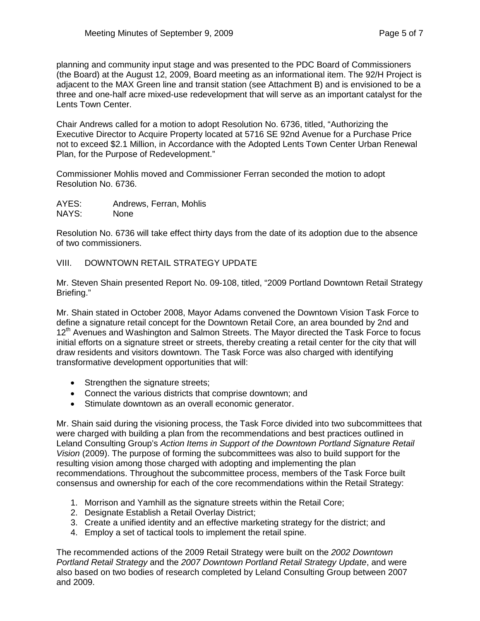planning and community input stage and was presented to the PDC Board of Commissioners (the Board) at the August 12, 2009, Board meeting as an informational item. The 92/H Project is adjacent to the MAX Green line and transit station (see Attachment B) and is envisioned to be a three and one-half acre mixed-use redevelopment that will serve as an important catalyst for the Lents Town Center.

Chair Andrews called for a motion to adopt Resolution No. 6736, titled, "Authorizing the Executive Director to Acquire Property located at 5716 SE 92nd Avenue for a Purchase Price not to exceed \$2.1 Million, in Accordance with the Adopted Lents Town Center Urban Renewal Plan, for the Purpose of Redevelopment."

Commissioner Mohlis moved and Commissioner Ferran seconded the motion to adopt Resolution No. 6736.

AYES: Andrews, Ferran, Mohlis NAYS: None

Resolution No. 6736 will take effect thirty days from the date of its adoption due to the absence of two commissioners.

## VIII. DOWNTOWN RETAIL STRATEGY UPDATE

Mr. Steven Shain presented Report No. 09-108, titled, "2009 Portland Downtown Retail Strategy Briefing."

Mr. Shain stated in October 2008, Mayor Adams convened the Downtown Vision Task Force to define a signature retail concept for the Downtown Retail Core, an area bounded by 2nd and 12<sup>th</sup> Avenues and Washington and Salmon Streets. The Mayor directed the Task Force to focus initial efforts on a signature street or streets, thereby creating a retail center for the city that will draw residents and visitors downtown. The Task Force was also charged with identifying transformative development opportunities that will:

- Strengthen the signature streets;
- Connect the various districts that comprise downtown; and
- Stimulate downtown as an overall economic generator.

Mr. Shain said during the visioning process, the Task Force divided into two subcommittees that were charged with building a plan from the recommendations and best practices outlined in Leland Consulting Group's *Action Items in Support of the Downtown Portland Signature Retail Vision* (2009). The purpose of forming the subcommittees was also to build support for the resulting vision among those charged with adopting and implementing the plan recommendations. Throughout the subcommittee process, members of the Task Force built consensus and ownership for each of the core recommendations within the Retail Strategy:

- 1. Morrison and Yamhill as the signature streets within the Retail Core;
- 2. Designate Establish a Retail Overlay District;
- 3. Create a unified identity and an effective marketing strategy for the district; and
- 4. Employ a set of tactical tools to implement the retail spine.

The recommended actions of the 2009 Retail Strategy were built on the *2002 Downtown Portland Retail Strategy* and the *2007 Downtown Portland Retail Strategy Update*, and were also based on two bodies of research completed by Leland Consulting Group between 2007 and 2009.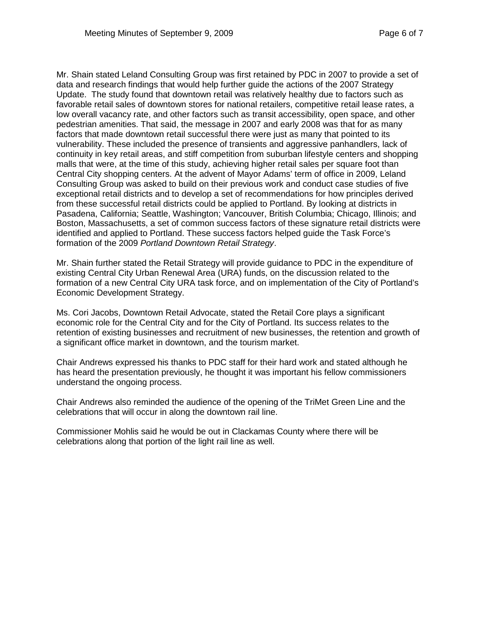Mr. Shain stated Leland Consulting Group was first retained by PDC in 2007 to provide a set of data and research findings that would help further guide the actions of the 2007 Strategy Update. The study found that downtown retail was relatively healthy due to factors such as favorable retail sales of downtown stores for national retailers, competitive retail lease rates, a low overall vacancy rate, and other factors such as transit accessibility, open space, and other pedestrian amenities. That said, the message in 2007 and early 2008 was that for as many factors that made downtown retail successful there were just as many that pointed to its vulnerability. These included the presence of transients and aggressive panhandlers, lack of continuity in key retail areas, and stiff competition from suburban lifestyle centers and shopping malls that were, at the time of this study, achieving higher retail sales per square foot than Central City shopping centers. At the advent of Mayor Adams' term of office in 2009, Leland Consulting Group was asked to build on their previous work and conduct case studies of five exceptional retail districts and to develop a set of recommendations for how principles derived from these successful retail districts could be applied to Portland. By looking at districts in Pasadena, California; Seattle, Washington; Vancouver, British Columbia; Chicago, Illinois; and Boston, Massachusetts, a set of common success factors of these signature retail districts were identified and applied to Portland. These success factors helped guide the Task Force's formation of the 2009 *Portland Downtown Retail Strategy*.

Mr. Shain further stated the Retail Strategy will provide guidance to PDC in the expenditure of existing Central City Urban Renewal Area (URA) funds, on the discussion related to the formation of a new Central City URA task force, and on implementation of the City of Portland's Economic Development Strategy.

Ms. Cori Jacobs, Downtown Retail Advocate, stated the Retail Core plays a significant economic role for the Central City and for the City of Portland. Its success relates to the retention of existing businesses and recruitment of new businesses, the retention and growth of a significant office market in downtown, and the tourism market.

Chair Andrews expressed his thanks to PDC staff for their hard work and stated although he has heard the presentation previously, he thought it was important his fellow commissioners understand the ongoing process.

Chair Andrews also reminded the audience of the opening of the TriMet Green Line and the celebrations that will occur in along the downtown rail line.

Commissioner Mohlis said he would be out in Clackamas County where there will be celebrations along that portion of the light rail line as well.